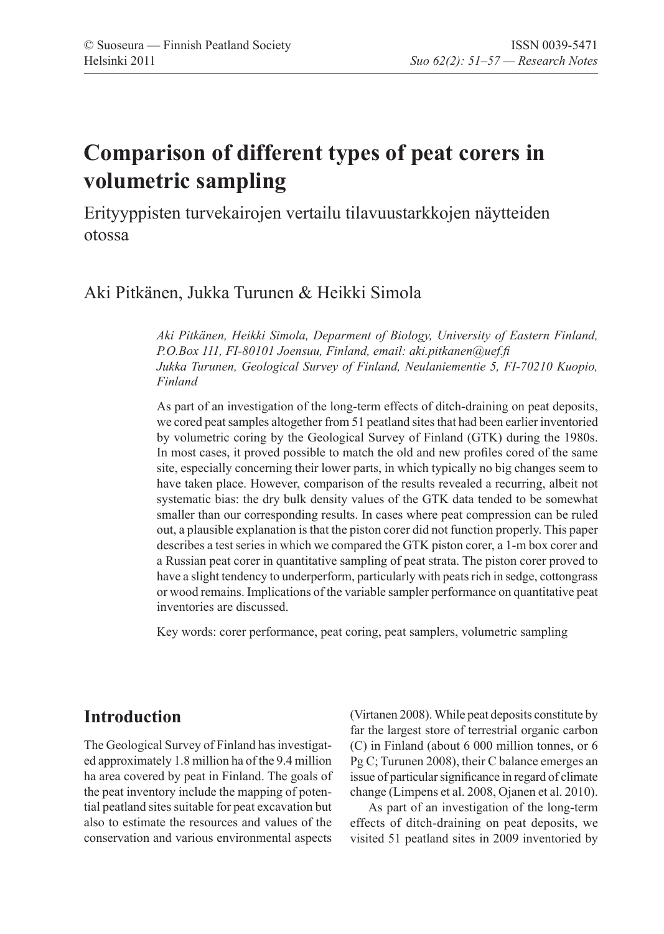# **Comparison of different types of peat corers in volumetric sampling**

Erityyppisten turvekairojen vertailu tilavuustarkkojen näytteiden otossa

### Aki Pitkänen, Jukka Turunen & Heikki Simola

*Aki Pitkänen, Heikki Simola, Deparment of Biology, University of Eastern Finland, P.O.Box 111, FI-80101 Joensuu, Finland, email: aki.pitkanen@uef.fi Jukka Turunen, Geological Survey of Finland, Neulaniementie 5, FI-70210 Kuopio, Finland*

As part of an investigation of the long-term effects of ditch-draining on peat deposits, we cored peat samples altogether from 51 peatland sites that had been earlier inventoried by volumetric coring by the Geological Survey of Finland (GTK) during the 1980s. In most cases, it proved possible to match the old and new profiles cored of the same site, especially concerning their lower parts, in which typically no big changes seem to have taken place. However, comparison of the results revealed a recurring, albeit not systematic bias: the dry bulk density values of the GTK data tended to be somewhat smaller than our corresponding results. In cases where peat compression can be ruled out, a plausible explanation is that the piston corer did not function properly. This paper describes a test series in which we compared the GTK piston corer, a 1-m box corer and a Russian peat corer in quantitative sampling of peat strata. The piston corer proved to have a slight tendency to underperform, particularly with peats rich in sedge, cottongrass or wood remains. Implications of the variable sampler performance on quantitative peat inventories are discussed.

Key words: corer performance, peat coring, peat samplers, volumetric sampling

### **Introduction**

The Geological Survey of Finland has investigated approximately 1.8 million ha of the 9.4 million ha area covered by peat in Finland. The goals of the peat inventory include the mapping of potential peatland sites suitable for peat excavation but also to estimate the resources and values of the conservation and various environmental aspects (Virtanen 2008). While peat deposits constitute by far the largest store of terrestrial organic carbon (C) in Finland (about 6 000 million tonnes, or 6 Pg C; Turunen 2008), their C balance emerges an issue of particular significance in regard of climate change (Limpens et al. 2008, Ojanen et al. 2010).

As part of an investigation of the long-term effects of ditch-draining on peat deposits, we visited 51 peatland sites in 2009 inventoried by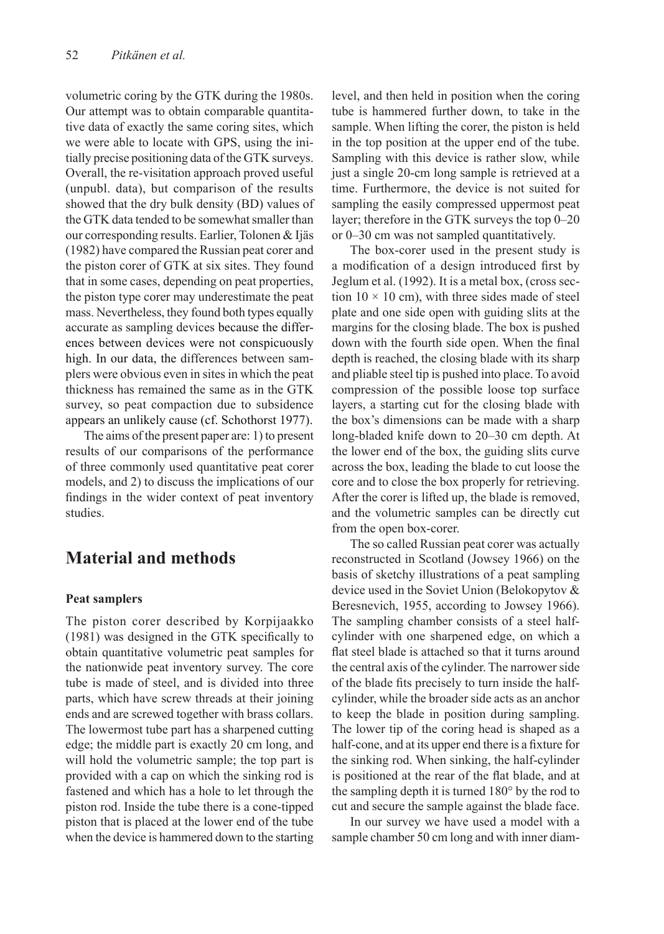volumetric coring by the GTK during the 1980s. Our attempt was to obtain comparable quantitative data of exactly the same coring sites, which we were able to locate with GPS, using the initially precise positioning data of the GTK surveys. Overall, the re-visitation approach proved useful (unpubl. data), but comparison of the results showed that the dry bulk density (BD) values of the GTK data tended to be somewhat smaller than our corresponding results. Earlier, Tolonen & Ijäs (1982) have compared the Russian peat corer and the piston corer of GTK at six sites. They found that in some cases, depending on peat properties, the piston type corer may underestimate the peat mass. Nevertheless, they found both types equally accurate as sampling devices because the differences between devices were not conspicuously high. In our data, the differences between samplers were obvious even in sites in which the peat thickness has remained the same as in the GTK survey, so peat compaction due to subsidence appears an unlikely cause (cf. Schothorst 1977).

The aims of the present paper are: 1) to present results of our comparisons of the performance of three commonly used quantitative peat corer models, and 2) to discuss the implications of our findings in the wider context of peat inventory studies.

# **Material and methods**

#### **Peat samplers**

The piston corer described by Korpijaakko (1981) was designed in the GTK specifically to obtain quantitative volumetric peat samples for the nationwide peat inventory survey. The core tube is made of steel, and is divided into three parts, which have screw threads at their joining ends and are screwed together with brass collars. The lowermost tube part has a sharpened cutting edge; the middle part is exactly 20 cm long, and will hold the volumetric sample; the top part is provided with a cap on which the sinking rod is fastened and which has a hole to let through the piston rod. Inside the tube there is a cone-tipped piston that is placed at the lower end of the tube when the device is hammered down to the starting

level, and then held in position when the coring tube is hammered further down, to take in the sample. When lifting the corer, the piston is held in the top position at the upper end of the tube. Sampling with this device is rather slow, while just a single 20-cm long sample is retrieved at a time. Furthermore, the device is not suited for sampling the easily compressed uppermost peat layer; therefore in the GTK surveys the top 0–20 or 0–30 cm was not sampled quantitatively.

The box-corer used in the present study is a modification of a design introduced first by Jeglum et al. (1992). It is a metal box, (cross section  $10 \times 10$  cm), with three sides made of steel plate and one side open with guiding slits at the margins for the closing blade. The box is pushed down with the fourth side open. When the final depth is reached, the closing blade with its sharp and pliable steel tip is pushed into place. To avoid compression of the possible loose top surface layers, a starting cut for the closing blade with the box's dimensions can be made with a sharp long-bladed knife down to 20–30 cm depth. At the lower end of the box, the guiding slits curve across the box, leading the blade to cut loose the core and to close the box properly for retrieving. After the corer is lifted up, the blade is removed, and the volumetric samples can be directly cut from the open box-corer.

The so called Russian peat corer was actually reconstructed in Scotland (Jowsey 1966) on the basis of sketchy illustrations of a peat sampling device used in the Soviet Union (Belokopytov & Beresnevich, 1955, according to Jowsey 1966). The sampling chamber consists of a steel halfcylinder with one sharpened edge, on which a flat steel blade is attached so that it turns around the central axis of the cylinder. The narrower side of the blade fits precisely to turn inside the halfcylinder, while the broader side acts as an anchor to keep the blade in position during sampling. The lower tip of the coring head is shaped as a half-cone, and at its upper end there is a fixture for the sinking rod. When sinking, the half-cylinder is positioned at the rear of the flat blade, and at the sampling depth it is turned 180° by the rod to cut and secure the sample against the blade face.

In our survey we have used a model with a sample chamber 50 cm long and with inner diam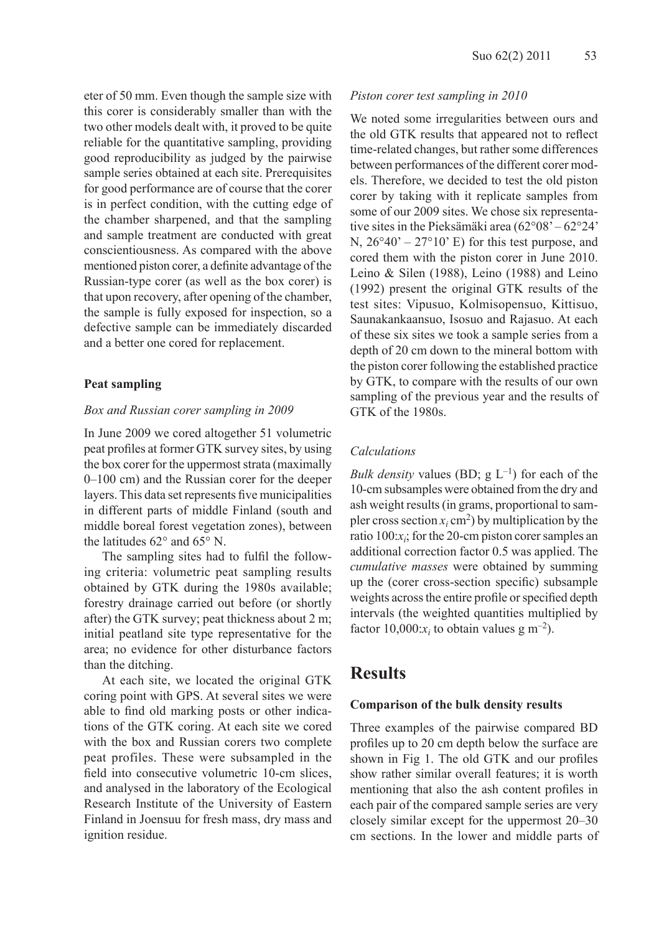eter of 50 mm. Even though the sample size with this corer is considerably smaller than with the two other models dealt with, it proved to be quite reliable for the quantitative sampling, providing good reproducibility as judged by the pairwise sample series obtained at each site. Prerequisites for good performance are of course that the corer is in perfect condition, with the cutting edge of the chamber sharpened, and that the sampling and sample treatment are conducted with great conscientiousness. As compared with the above mentioned piston corer, a definite advantage of the Russian-type corer (as well as the box corer) is that upon recovery, after opening of the chamber, the sample is fully exposed for inspection, so a defective sample can be immediately discarded and a better one cored for replacement.

#### **Peat sampling**

#### *Box and Russian corer sampling in 2009*

In June 2009 we cored altogether 51 volumetric peat profiles at former GTK survey sites, by using the box corer for the uppermost strata (maximally 0–100 cm) and the Russian corer for the deeper layers. This data set represents five municipalities in different parts of middle Finland (south and middle boreal forest vegetation zones), between the latitudes 62° and 65° N.

The sampling sites had to fulfil the following criteria: volumetric peat sampling results obtained by GTK during the 1980s available; forestry drainage carried out before (or shortly after) the GTK survey; peat thickness about 2 m; initial peatland site type representative for the area; no evidence for other disturbance factors than the ditching.

At each site, we located the original GTK coring point with GPS. At several sites we were able to find old marking posts or other indications of the GTK coring. At each site we cored with the box and Russian corers two complete peat profiles. These were subsampled in the field into consecutive volumetric 10-cm slices, and analysed in the laboratory of the Ecological Research Institute of the University of Eastern Finland in Joensuu for fresh mass, dry mass and ignition residue.

#### *Piston corer test sampling in 2010*

We noted some irregularities between ours and the old GTK results that appeared not to reflect time-related changes, but rather some differences between performances of the different corer models. Therefore, we decided to test the old piston corer by taking with it replicate samples from some of our 2009 sites. We chose six representative sites in the Pieksämäki area (62°08' – 62°24' N,  $26^{\circ}40^{\circ} - 27^{\circ}10^{\circ}$  E) for this test purpose, and cored them with the piston corer in June 2010. Leino & Silen (1988), Leino (1988) and Leino (1992) present the original GTK results of the test sites: Vipusuo, Kolmisopensuo, Kittisuo, Saunakankaansuo, Isosuo and Rajasuo. At each of these six sites we took a sample series from a depth of 20 cm down to the mineral bottom with the piston corer following the established practice by GTK, to compare with the results of our own sampling of the previous year and the results of GTK of the 1980s.

#### *Calculations*

*Bulk density* values (BD;  $g L^{-1}$ ) for each of the 10-cm subsamples were obtained from the dry and ash weight results (in grams, proportional to sampler cross section  $x_i$  cm<sup>2</sup>) by multiplication by the ratio 100:*xi* ; for the 20-cm piston corer samples an additional correction factor 0.5 was applied. The *cumulative masses* were obtained by summing up the (corer cross-section specific) subsample weights across the entire profile or specified depth intervals (the weighted quantities multiplied by factor  $10,000:x_i$  to obtain values g m<sup>-2</sup>).

### **Results**

#### **Comparison of the bulk density results**

Three examples of the pairwise compared BD profiles up to 20 cm depth below the surface are shown in Fig 1. The old GTK and our profiles show rather similar overall features; it is worth mentioning that also the ash content profiles in each pair of the compared sample series are very closely similar except for the uppermost 20–30 cm sections. In the lower and middle parts of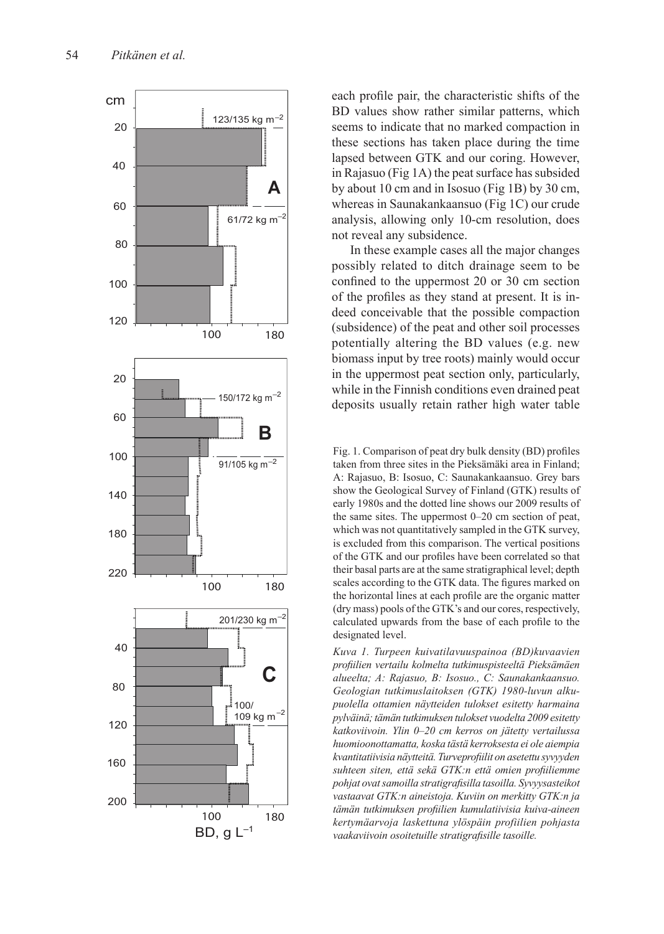

each profile pair, the characteristic shifts of the BD values show rather similar patterns, which seems to indicate that no marked compaction in these sections has taken place during the time lapsed between GTK and our coring. However, in Rajasuo (Fig 1A) the peat surface has subsided by about 10 cm and in Isosuo (Fig 1B) by 30 cm, whereas in Saunakankaansuo (Fig 1C) our crude analysis, allowing only 10-cm resolution, does not reveal any subsidence.

In these example cases all the major changes possibly related to ditch drainage seem to be confined to the uppermost 20 or 30 cm section of the profiles as they stand at present. It is in deed conceivable that the possible compaction (subsidence) of the peat and other soil processes potentially altering the BD values (e.g. new biomass input by tree roots) mainly would occur in the uppermost peat section only, particularly, while in the Finnish conditions even drained peat deposits usually retain rather high water table

Fig. 1. Comparison of peat dry bulk density (BD) profiles taken from three sites in the Pieksämäki area in Finland; A: Rajasuo, B: Isosuo, C: Saunakankaansuo. Grey bars show the Geological Survey of Finland (GTK) results of early 1980s and the dotted line shows our 2009 results of the same sites. The uppermost 0–20 cm section of peat, which was not quantitatively sampled in the GTK survey, is excluded from this comparison. The vertical positions of the GTK and our profiles have been correlated so that their basal parts are at the same stratigraphical level; depth scales according to the GTK data. The figures marked on the horizontal lines at each profile are the organic matter (dry mass) pools of the GTK's and our cores, respectively, calculated upwards from the base of each profile to the designated level.

*Kuva 1. Turpeen kuivatilavuuspainoa (BD)kuvaavien profiilien vertailu kolmelta tutkimuspisteeltä Pieksämäen alueelta; A: Rajasuo, B: Isosuo., C: Saunakankaansuo. Geologian tutkimuslaitoksen (GTK) 1980-luvun alku puolella ottamien näytteiden tulokset esitetty harmaina pylväinä; tämän tutkimuksen tulokset vuodelta 2009 esitetty katkoviivoin. Ylin 0–20 cm kerros on jätetty vertailussa huomioonottamatta, koska tästä kerroksesta ei ole aiempia kvantitatiivisia näytteitä. Turveprofiilit on asetettu syvyyden suhteen siten, että sekä GTK:n että omien profiiliemme pohjat ovat samoilla stratigrafisilla tasoilla. Syvyysasteikot vastaavat GTK:n aineistoja. Kuviin on merkitty GTK:n ja tämän tutkimuksen profiilien kumulatiivisia kuiva-aineen kertymäarvoja laskettuna ylöspäin profiilien pohjasta vaakaviivoin osoitetuille stratigrafisille tasoille.*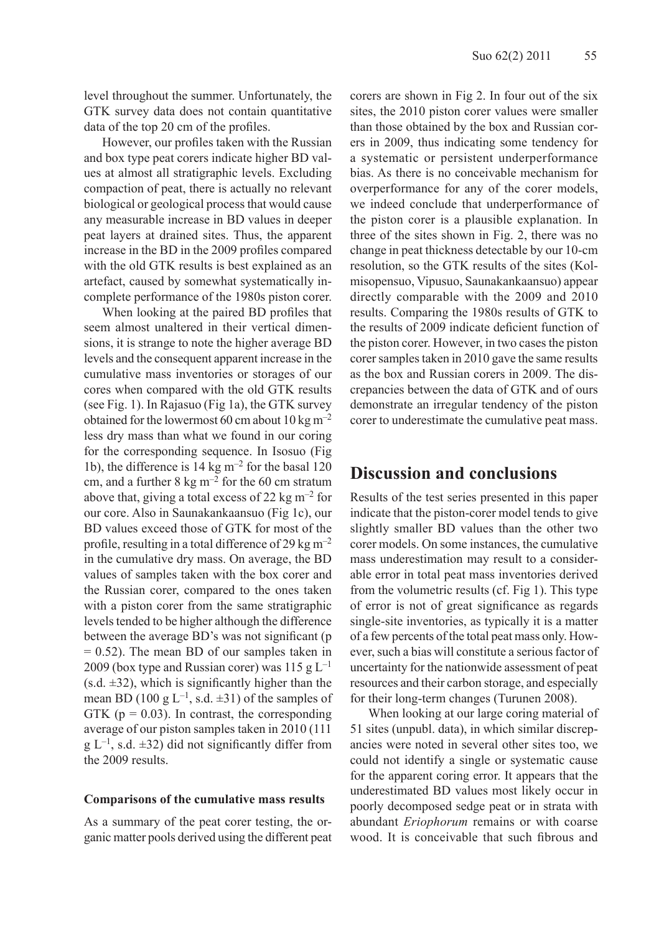level throughout the summer. Unfortunately, the GTK survey data does not contain quantitative data of the top 20 cm of the profiles.

However, our profiles taken with the Russian and box type peat corers indicate higher BD values at almost all stratigraphic levels. Excluding compaction of peat, there is actually no relevant biological or geological process that would cause any measurable increase in BD values in deeper peat layers at drained sites. Thus, the apparent increase in the BD in the 2009 profiles compared with the old GTK results is best explained as an artefact, caused by somewhat systematically incomplete performance of the 1980s piston corer.

When looking at the paired BD profiles that seem almost unaltered in their vertical dimensions, it is strange to note the higher average BD levels and the consequent apparent increase in the cumulative mass inventories or storages of our cores when compared with the old GTK results (see Fig. 1). In Rajasuo (Fig 1a), the GTK survey obtained for the lowermost 60 cm about 10 kg m<sup>-2</sup> less dry mass than what we found in our coring for the corresponding sequence. In Isosuo (Fig 1b), the difference is 14 kg m–2 for the basal 120 cm, and a further  $8 \text{ kg m}^{-2}$  for the 60 cm stratum above that, giving a total excess of 22 kg  $\mathrm{m}^{-2}$  for our core. Also in Saunakankaansuo (Fig 1c), our BD values exceed those of GTK for most of the profile, resulting in a total difference of 29 kg  $m^{-2}$ in the cumulative dry mass. On average, the BD values of samples taken with the box corer and the Russian corer, compared to the ones taken with a piston corer from the same stratigraphic levels tended to be higher although the difference between the average BD's was not significant (p = 0.52). The mean BD of our samples taken in 2009 (box type and Russian corer) was 115 g  $L^{-1}$  $(s.d. \pm 32)$ , which is significantly higher than the mean BD (100 g  $L^{-1}$ , s.d.  $\pm$ 31) of the samples of GTK ( $p = 0.03$ ). In contrast, the corresponding average of our piston samples taken in 2010 (111  $g L^{-1}$ , s.d.  $\pm 32$ ) did not significantly differ from the 2009 results.

#### **Comparisons of the cumulative mass results**

As a summary of the peat corer testing, the organic matter pools derived using the different peat corers are shown in Fig 2. In four out of the six sites, the 2010 piston corer values were smaller than those obtained by the box and Russian corers in 2009, thus indicating some tendency for a systematic or persistent underperformance bias. As there is no conceivable mechanism for overperformance for any of the corer models, we indeed conclude that underperformance of the piston corer is a plausible explanation. In three of the sites shown in Fig. 2, there was no change in peat thickness detectable by our 10-cm resolution, so the GTK results of the sites (Kolmisopensuo, Vipusuo, Saunakankaansuo) appear directly comparable with the 2009 and 2010 results. Comparing the 1980s results of GTK to the results of 2009 indicate deficient function of the piston corer. However, in two cases the piston corer samples taken in 2010 gave the same results as the box and Russian corers in 2009. The discrepancies between the data of GTK and of ours demonstrate an irregular tendency of the piston corer to underestimate the cumulative peat mass.

### **Discussion and conclusions**

Results of the test series presented in this paper indicate that the piston-corer model tends to give slightly smaller BD values than the other two corer models. On some instances, the cumulative mass underestimation may result to a considerable error in total peat mass inventories derived from the volumetric results (cf. Fig 1). This type of error is not of great significance as regards single-site inventories, as typically it is a matter of a few percents of the total peat mass only. However, such a bias will constitute a serious factor of uncertainty for the nationwide assessment of peat resources and their carbon storage, and especially for their long-term changes (Turunen 2008).

When looking at our large coring material of 51 sites (unpubl. data), in which similar discrepancies were noted in several other sites too, we could not identify a single or systematic cause for the apparent coring error. It appears that the underestimated BD values most likely occur in poorly decomposed sedge peat or in strata with abundant *Eriophorum* remains or with coarse wood. It is conceivable that such fibrous and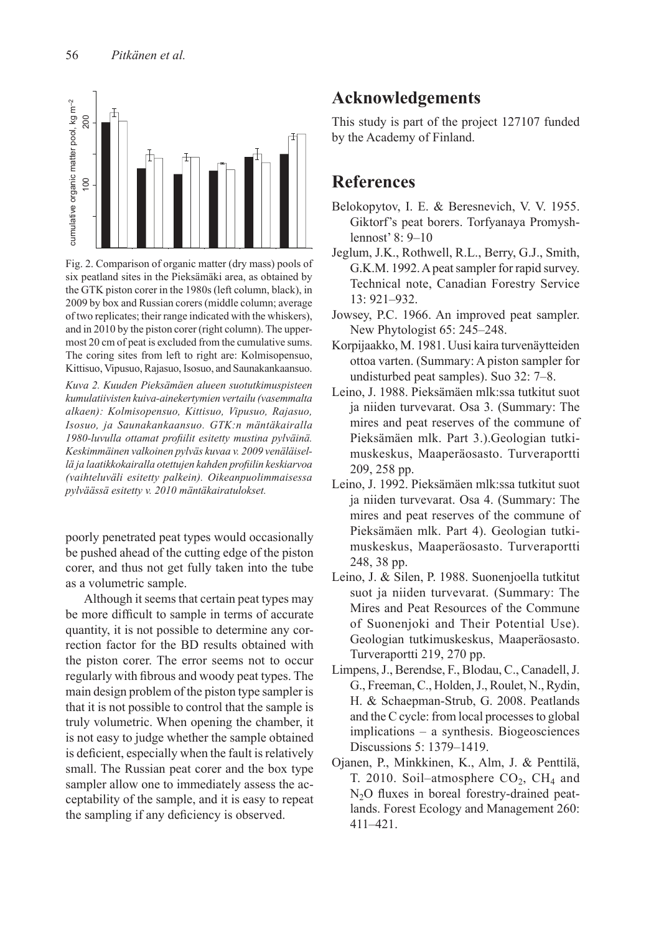

Fig. 2. Comparison of organic matter (dry mass) pools of six peatland sites in the Pieksämäki area, as obtained by the GTK piston corer in the 1980s (left column, black), in 2009 by box and Russian corers (middle column; average of two replicates; their range indicated with the whiskers), and in 2010 by the piston corer (right column). The uppermost 20 cm of peat is excluded from the cumulative sums. The coring sites from left to right are: Kolmisopensuo, Kittisuo, Vipusuo, Rajasuo, Isosuo, and Saunakankaansuo.

*Kuva 2. Kuuden Pieksämäen alueen suotutkimuspisteen kumulatiivisten kuiva-ainekertymien vertailu (vasemmalta alkaen): Kolmisopensuo, Kittisuo, Vipusuo, Rajasuo, Isosuo, ja Saunakankaansuo. GTK:n mäntäkairalla 1980-luvulla ottamat profiilit esitetty mustina pylväinä. Keskimmäinen valkoinen pylväs kuvaa v. 2009 venäläisellä ja laatikkokairalla otettujen kahden profiilin keskiarvoa (vaihteluväli esitetty palkein). Oikeanpuolimmaisessa pylväässä esitetty v. 2010 mäntäkairatulokset.*

poorly penetrated peat types would occasionally be pushed ahead of the cutting edge of the piston corer, and thus not get fully taken into the tube as a volumetric sample.

Although it seems that certain peat types may be more difficult to sample in terms of accurate quantity, it is not possible to determine any correction factor for the BD results obtained with the piston corer. The error seems not to occur regularly with fibrous and woody peat types. The main design problem of the piston type sampler is that it is not possible to control that the sample is truly volumetric. When opening the chamber, it is not easy to judge whether the sample obtained is deficient, especially when the fault is relatively small. The Russian peat corer and the box type sampler allow one to immediately assess the acceptability of the sample, and it is easy to repeat the sampling if any deficiency is observed.

# **Acknowledgements**

This study is part of the project 127107 funded by the Academy of Finland.

### **References**

- Belokopytov, I. E. & Beresnevich, V. V. 1955. Giktorf's peat borers. Torfyanaya Promyshlennost' 8: 9–10
- Jeglum, J.K., Rothwell, R.L., Berry, G.J., Smith, G.K.M. 1992. A peat sampler for rapid survey. Technical note, Canadian Forestry Service 13: 921–932.
- Jowsey, P.C. 1966. An improved peat sampler. New Phytologist 65: 245–248.
- Korpijaakko, M. 1981. Uusi kaira turvenäytteiden ottoa varten. (Summary: A piston sampler for undisturbed peat samples). Suo 32: 7–8.
- Leino, J. 1988. Pieksämäen mlk:ssa tutkitut suot ja niiden turvevarat. Osa 3. (Summary: The mires and peat reserves of the commune of Pieksämäen mlk. Part 3.).Geologian tutkimuskeskus, Maaperäosasto. Turveraportti 209, 258 pp.
- Leino, J. 1992. Pieksämäen mlk:ssa tutkitut suot ja niiden turvevarat. Osa 4. (Summary: The mires and peat reserves of the commune of Pieksämäen mlk. Part 4). Geologian tutkimuskeskus, Maaperäosasto. Turveraportti 248, 38 pp.
- Leino, J. & Silen, P. 1988. Suonenjoella tutkitut suot ja niiden turvevarat. (Summary: The Mires and Peat Resources of the Commune of Suonenjoki and Their Potential Use). Geologian tutkimuskeskus, Maaperäosasto. Turveraportti 219, 270 pp.
- Limpens, J., Berendse, F., Blodau, C., Canadell, J. G., Freeman, C., Holden, J., Roulet, N., Rydin, H. & Schaepman-Strub, G. 2008. Peatlands and the C cycle: from local processes to global implications – a synthesis. Biogeosciences Discussions 5: 1379–1419.
- Ojanen, P., Minkkinen, K., Alm, J. & Penttilä, T. 2010. Soil–atmosphere  $CO<sub>2</sub>$ , CH<sub>4</sub> and  $N<sub>2</sub>O$  fluxes in boreal forestry-drained peatlands. Forest Ecology and Management 260: 411–421.